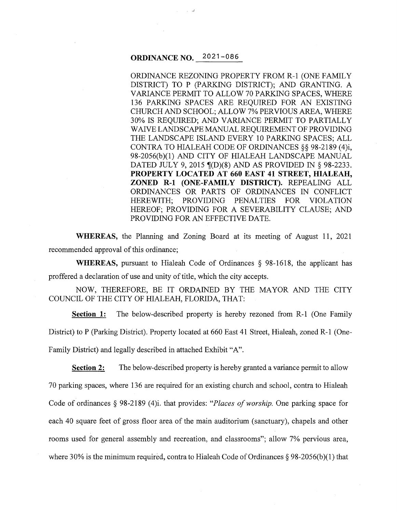# **ORDINANCE NO.** 2021-086

.I

ORDINANCE REZONING PROPERTY FROM R-1 (ONE FAMILY DISTRICT) TO P (PARKING DISTRICT); AND GRANTING. A VARIANCE PERMIT TO ALLOW 70 PARKING SPACES, WHERE 136 PARKING SPACES ARE REQUIRED FOR AN EXISTING CHURCH AND SCHOOL; ALLOW 7% PERVIOUS AREA, WHERE 30% IS REQUIRED; AND VARIANCE PERMIT TO PARTIALLY WAIVE LANDSCAPE MANUAL REQUIREMENT OF PROVIDING THE LANDSCAPE ISLAND EVERY 10 PARKING SPACES; ALL CONTRA TO HIALEAH CODE OF ORDINANCES§§ 98-2189 (4)i, 98-2056(b)(l) AND CITY OF HIALEAH LANDSCAPE MANUAL DATED JULY 9, 2015  $\P(D)(8)$  AND AS PROVIDED IN § 98-2233. **PROPERTY LOCATED AT 660 EAST 41 STREET, HIALEAH, ZONED R-1 (ONE-FAMILY DISTRICT).** REPEALING ALL ORDINANCES OR PARTS OF ORDINANCES IN CONFLICT HEREWITH; PROVIDING PENALTIES FOR VIOLATION HEREOF; PROVIDING FOR A SEVERABILITY CLAUSE; AND PROVIDING FOR AN EFFECTIVE DATE.

**WHEREAS,** the Planning and Zoning Board at its meeting of August 11, 2021 recommended approval of this ordinance;

**WHEREAS,** pursuant to Hialeah Code of Ordinances § 98-1618, the applicant has proffered a declaration of use and unity of title, which the city accepts.

NOW, THEREFORE, BE IT ORDAINED BY THE MAYOR AND THE CITY COUNCIL OF THE CITY OF HIALEAH, FLORIDA, THAT:

**Section 1:** The below-described property is hereby rezoned from R-1 (One Family District) to P (Parking District). Property located at 660 East 41 Street, Hialeah, zoned R-1 (One-Family District) and legally described in attached Exhibit "A".

**Section 2:** The below-described property is hereby granted a variance permit to allow 70 parking spaces, where 136 are required for an existing church and school, contra to Hialeah Code of ordinances § 98-2189 (4)i. that provides: *"Places of worship.* One parking space for each 40 square feet of gross floor area of the main auditorium (sanctuary), chapels and other rooms used for general assembly and recreation, and classrooms"; allow 7% pervious area, where 30% is the minimum required, contra to Hialeah Code of Ordinances  $\S$  98-2056(b)(1) that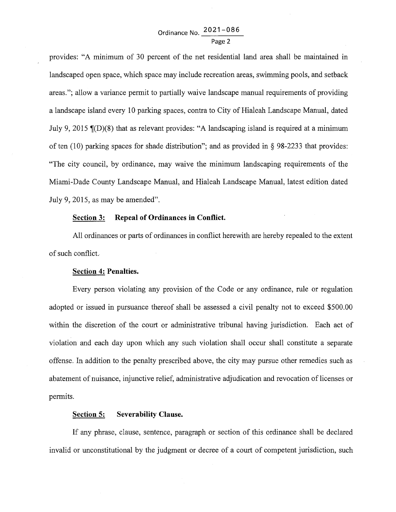provides: "A minimum of 30 percent of the net residential land area shall be maintained in landscaped open space, which space may include recreation areas, swimming pools, and setback areas."; allow a variance permit to partially waive landscape manual requirements of providing a landscape island every 10 parking spaces, contra to City of Hialeah Landscape Manual, dated July 9, 2015  $\P(D)(8)$  that as relevant provides: "A landscaping island is required at a minimum of ten (10) parking spaces for shade distribution"; and as provided in § 98-2233 that provides: "The city council, by ordinance, may waive the minimum landscaping requirements of the Miami-Dade County Landscape Manual, and Hialeah Landscape Manual, latest edition dated July 9, 2015, as may be amended".

### **Section 3: Repeal of Ordinances in Conflict.**

All ordinances or parts of ordinances in conflict herewith are hereby repealed to the extent of such conflict.

#### **Section 4: Penalties.**

Every person violating any provision of the Code or any ordinance, rule or regulation adopted or issued in pursuance thereof shall be assessed a civil penalty not to exceed \$500.00 within the discretion of the court or administrative tribunal having jurisdiction. Each act of violation and each day upon which any such violation shall occur shall constitute a separate offense. In addition to the penalty prescribed above, the city may pursue other remedies such as abatement of nuisance, injunctive relief, administrative adjudication and revocation of licenses or permits.

## **Section 5: Severability Clause.**

If any phrase, clause, sentence, paragraph or section of this ordinance shall be declared invalid or unconstitutional by the judgment or decree of a court of competent jurisdiction, such